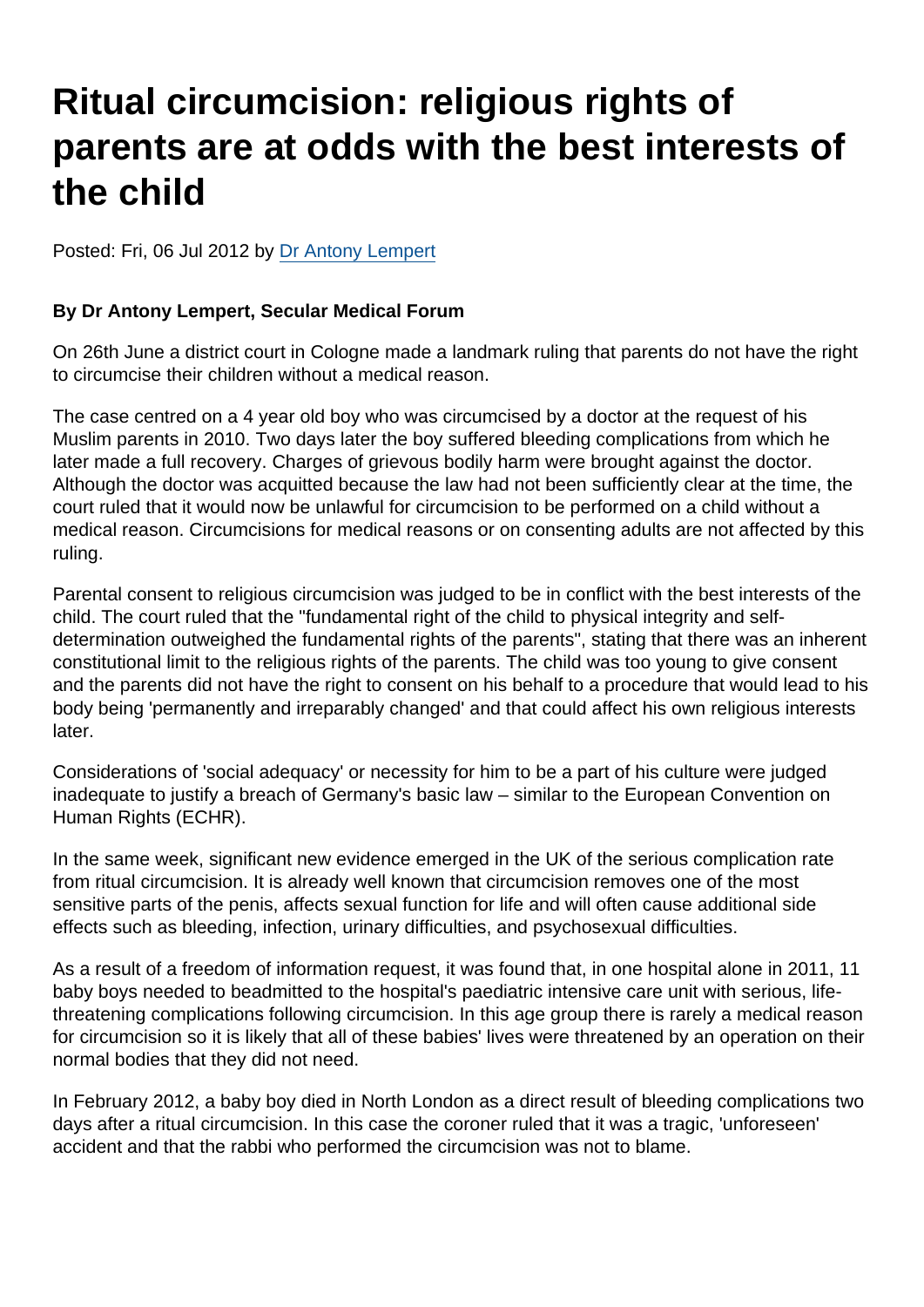# Ritual circumcision: religious rights of parents are at odds with the best interests of the child

Posted: Fri, 06 Jul 2012 by [Dr Antony Lempert](https://www.secularism.org.uk/opinion/authors/860)

By Dr Antony Lempert, Secular Medical Forum

On 26th June a district court in Cologne made a landmark ruling that parents do not have the right to circumcise their children without a medical reason.

The case centred on a 4 year old boy who was circumcised by a doctor at the request of his Muslim parents in 2010. Two days later the boy suffered bleeding complications from which he later made a full recovery. Charges of grievous bodily harm were brought against the doctor. Although the doctor was acquitted because the law had not been sufficiently clear at the time, the court ruled that it would now be unlawful for circumcision to be performed on a child without a medical reason. Circumcisions for medical reasons or on consenting adults are not affected by this ruling.

Parental consent to religious circumcision was judged to be in conflict with the best interests of the child. The court ruled that the "fundamental right of the child to physical integrity and selfdetermination outweighed the fundamental rights of the parents", stating that there was an inherent constitutional limit to the religious rights of the parents. The child was too young to give consent and the parents did not have the right to consent on his behalf to a procedure that would lead to his body being 'permanently and irreparably changed' and that could affect his own religious interests later.

Considerations of 'social adequacy' or necessity for him to be a part of his culture were judged inadequate to justify a breach of Germany's basic law – similar to the European Convention on Human Rights (ECHR).

In the same week, significant new evidence emerged in the UK of the serious complication rate from ritual circumcision. It is already well known that circumcision removes one of the most sensitive parts of the penis, affects sexual function for life and will often cause additional side effects such as bleeding, infection, urinary difficulties, and psychosexual difficulties.

As a result of a freedom of information request, it was found that, in one hospital alone in 2011, 11 baby boys needed to beadmitted to the hospital's paediatric intensive care unit with serious, lifethreatening complications following circumcision. In this age group there is rarely a medical reason for circumcision so it is likely that all of these babies' lives were threatened by an operation on their normal bodies that they did not need.

In February 2012, a baby boy died in North London as a direct result of bleeding complications two days after a ritual circumcision. In this case the coroner ruled that it was a tragic, 'unforeseen' accident and that the rabbi who performed the circumcision was not to blame.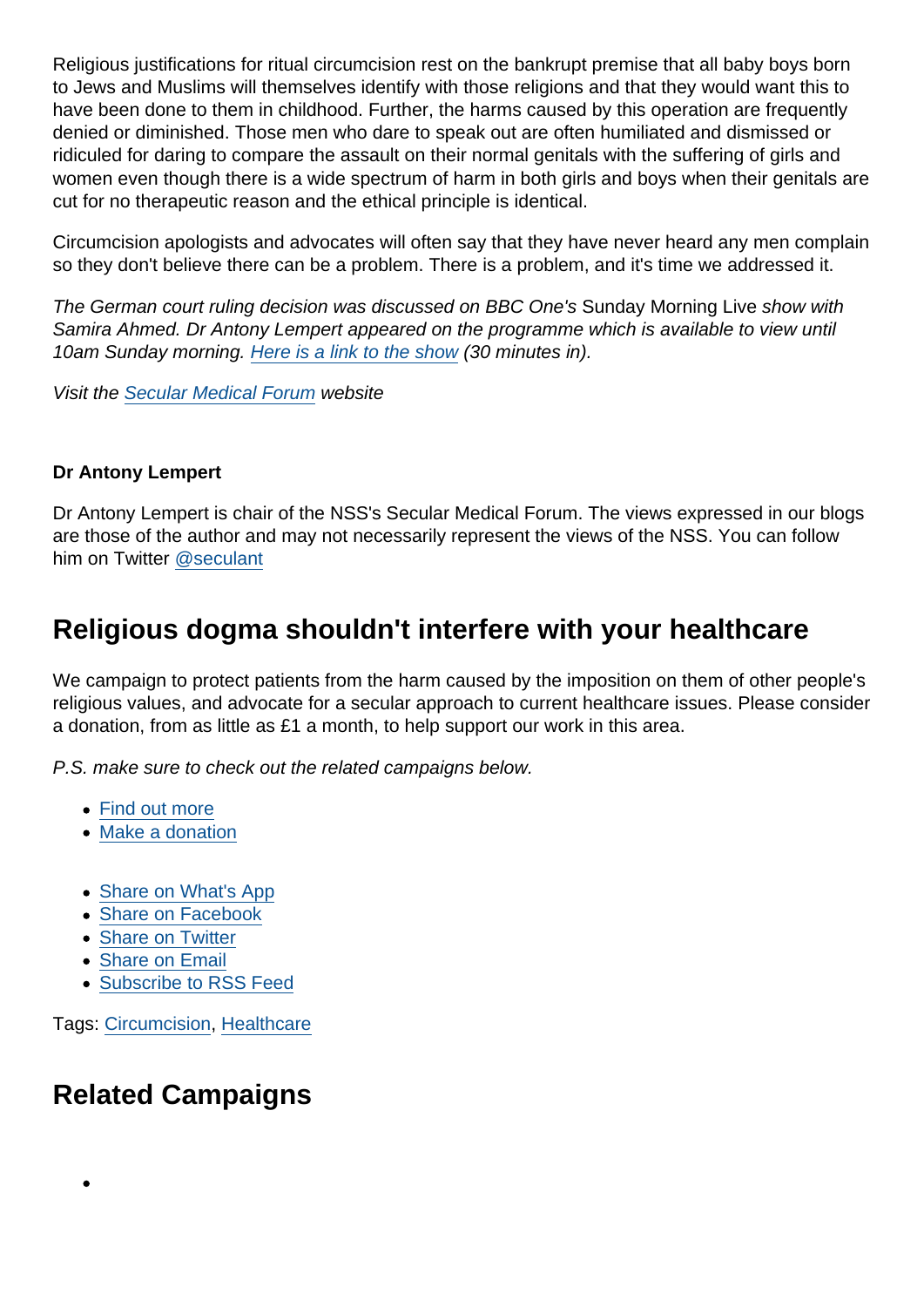Religious justifications for ritual circumcision rest on the bankrupt premise that all baby boys born to Jews and Muslims will themselves identify with those religions and that they would want this to have been done to them in childhood. Further, the harms caused by this operation are frequently denied or diminished. Those men who dare to speak out are often humiliated and dismissed or ridiculed for daring to compare the assault on their normal genitals with the suffering of girls and women even though there is a wide spectrum of harm in both girls and boys when their genitals are cut for no therapeutic reason and the ethical principle is identical.

Circumcision apologists and advocates will often say that they have never heard any men complain so they don't believe there can be a problem. There is a problem, and it's time we addressed it.

The German court ruling decision was discussed on BBC One's Sunday Morning Live show with Samira Ahmed. Dr Antony Lempert appeared on the programme which is available to view until 10am Sunday morning. [Here is a link to the show](http://www.bbc.co.uk/iplayer/episode/b01kkvz3/Sunday_Morning_Live_Series_3_Episode_4/) (30 minutes in).

Visit the [Secular Medical Forum](http://www.secularmedicalforum.org.uk/) website

#### Dr Antony Lempert

Dr Antony Lempert is chair of the NSS's Secular Medical Forum. The views expressed in our blogs are those of the author and may not necessarily represent the views of the NSS. You can follow him on Twitter [@seculant](https://twitter.com/seculant?lang=en)

## Religious dogma shouldn't interfere with your healthcare

We campaign to protect patients from the harm caused by the imposition on them of other people's religious values, and advocate for a secular approach to current healthcare issues. Please consider a donation, from as little as £1 a month, to help support our work in this area.

P.S. make sure to check out the related campaigns below.

- [Find out more](https://www.secularism.org.uk/healthcare/)
- [Make a donation](https://www.secularism.org.uk/donate.html)
- [Share on What's App](whatsapp://send?text=http://www.secularism.org.uk/opinion/2012/07/ritual-circumcision-religious-rights-of-parents-are-at-odds-with-best-interests-of-the-child?format=pdf)
- [Share on Facebook](https://www.facebook.com/sharer/sharer.php?u=http://www.secularism.org.uk/opinion/2012/07/ritual-circumcision-religious-rights-of-parents-are-at-odds-with-best-interests-of-the-child?format=pdf&t=Ritual+circumcision:+religious+rights+of+parents+are+at+odds+with+the+best+interests+of+the+child)
- [Share on Twitter](https://twitter.com/intent/tweet?url=http://www.secularism.org.uk/opinion/2012/07/ritual-circumcision-religious-rights-of-parents-are-at-odds-with-best-interests-of-the-child?format=pdf&text=Ritual+circumcision:+religious+rights+of+parents+are+at+odds+with+the+best+interests+of+the+child&via=NatSecSoc)
- [Share on Email](https://www.secularism.org.uk/share.html?url=http://www.secularism.org.uk/opinion/2012/07/ritual-circumcision-religious-rights-of-parents-are-at-odds-with-best-interests-of-the-child?format=pdf&title=Ritual+circumcision:+religious+rights+of+parents+are+at+odds+with+the+best+interests+of+the+child)
- [Subscribe to RSS Feed](/mnt/web-data/www/cp-nss/feeds/rss/news)

Tags: [Circumcision](https://www.secularism.org.uk/opinion/tags/Circumcision), [Healthcare](https://www.secularism.org.uk/opinion/tags/Healthcare)

## Related Campaigns